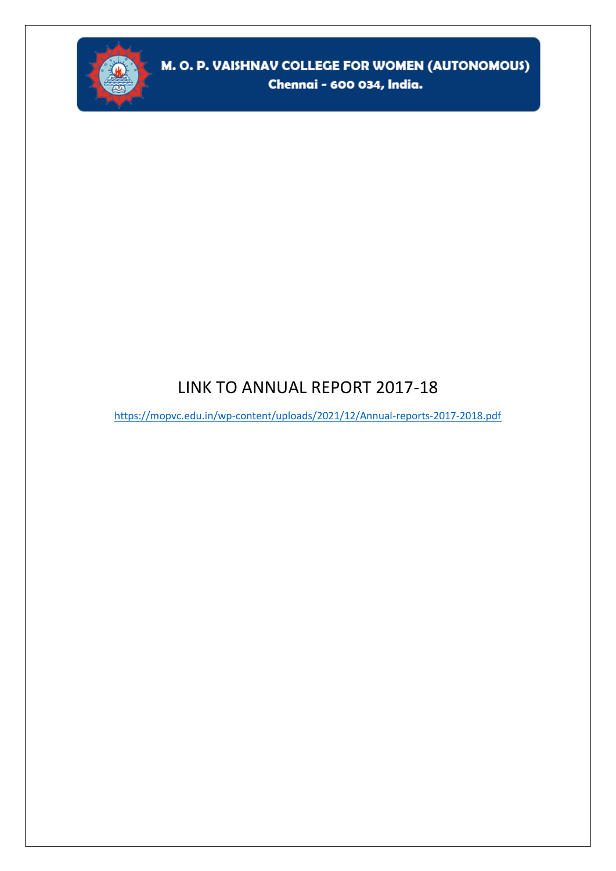

### LINK TO ANNUAL REPORT 2017-18

<https://mopvc.edu.in/wp-content/uploads/2021/12/Annual-reports-2017-2018.pdf>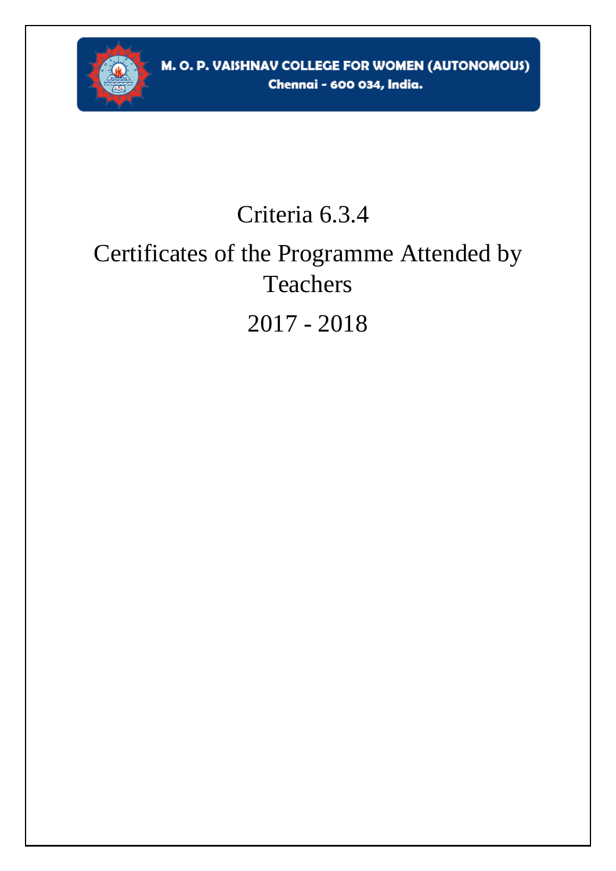

## Criteria 6.3.4

# Certificates of the Programme Attended by Teachers

## 2017 - 2018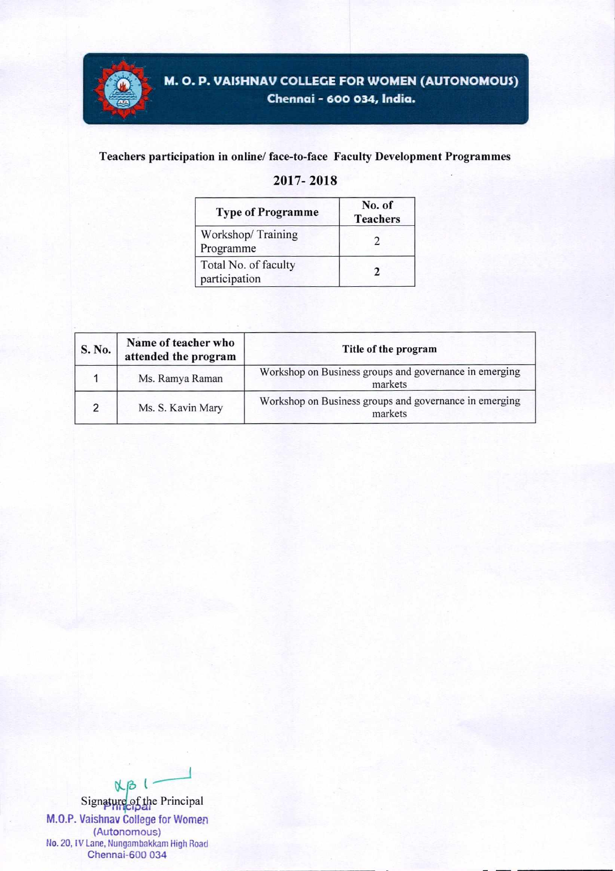

#### **Teachers participation in online/ face-to-face Faculty Development Programmes**

#### **2017- 2018**

| <b>Type of Programme</b>              | No. of<br><b>Teachers</b> |  |
|---------------------------------------|---------------------------|--|
| Workshop/Training<br>Programme        |                           |  |
| Total No. of faculty<br>participation |                           |  |

| S. No.        | Name of teacher who<br>attended the program | Title of the program                                              |
|---------------|---------------------------------------------|-------------------------------------------------------------------|
|               | Ms. Ramya Raman                             | Workshop on Business groups and governance in emerging<br>markets |
| $\mathcal{D}$ | Ms. S. Kavin Mary                           | Workshop on Business groups and governance in emerging<br>markets |

 $N-B$ Signature of the Principal **M.O.P. Vaishnav College for Women**  (Autonomous) No. 20, IV Lane, Nungambakkam High Road Chennai-600 034